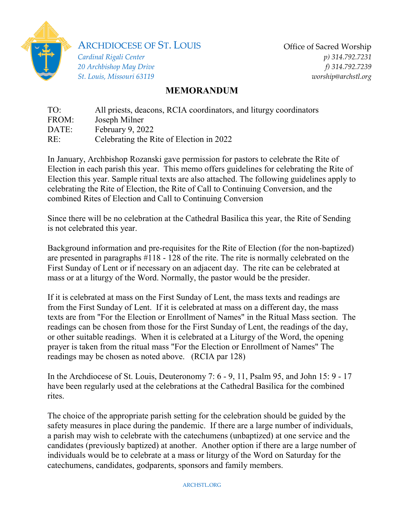

ARCHDIOCESE OF ST. LOUIS

*Cardinal Rigali Center 20 Archbishop May Drive St. Louis, Missouri 63119* Office of Sacred Worship *p) 314.792.7231 f) 314.792.7239 worship@archstl.org*

## **MEMORANDUM**

TO: All priests, deacons, RCIA coordinators, and liturgy coordinators FROM: Joseph Milner DATE: February 9, 2022 RE: Celebrating the Rite of Election in 2022

In January, Archbishop Rozanski gave permission for pastors to celebrate the Rite of Election in each parish this year. This memo offers guidelines for celebrating the Rite of Election this year. Sample ritual texts are also attached. The following guidelines apply to celebrating the Rite of Election, the Rite of Call to Continuing Conversion, and the combined Rites of Election and Call to Continuing Conversion

Since there will be no celebration at the Cathedral Basilica this year, the Rite of Sending is not celebrated this year.

Background information and pre-requisites for the Rite of Election (for the non-baptized) are presented in paragraphs #118 - 128 of the rite. The rite is normally celebrated on the First Sunday of Lent or if necessary on an adjacent day. The rite can be celebrated at mass or at a liturgy of the Word. Normally, the pastor would be the presider.

If it is celebrated at mass on the First Sunday of Lent, the mass texts and readings are from the First Sunday of Lent. If it is celebrated at mass on a different day, the mass texts are from "For the Election or Enrollment of Names" in the Ritual Mass section. The readings can be chosen from those for the First Sunday of Lent, the readings of the day, or other suitable readings. When it is celebrated at a Liturgy of the Word, the opening prayer is taken from the ritual mass "For the Election or Enrollment of Names" The readings may be chosen as noted above. (RCIA par 128)

In the Archdiocese of St. Louis, Deuteronomy 7: 6 - 9, 11, Psalm 95, and John 15: 9 - 17 have been regularly used at the celebrations at the Cathedral Basilica for the combined rites.

The choice of the appropriate parish setting for the celebration should be guided by the safety measures in place during the pandemic. If there are a large number of individuals, a parish may wish to celebrate with the catechumens (unbaptized) at one service and the candidates (previously baptized) at another. Another option if there are a large number of individuals would be to celebrate at a mass or liturgy of the Word on Saturday for the catechumens, candidates, godparents, sponsors and family members.